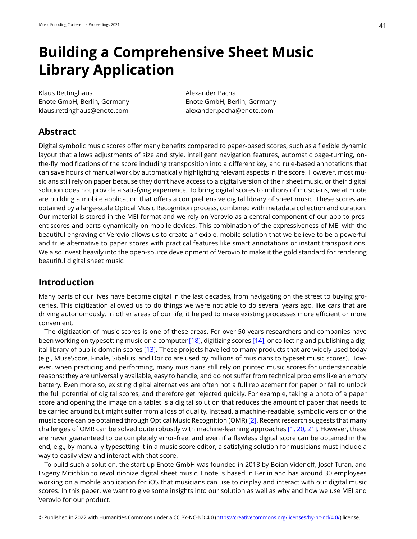# **Building a Comprehensive Sheet Music Library Application**

Klaus Rettinghaus **Alexander Pacha** Enote GmbH, Berlin, Germany Enote GmbH, Berlin, Germany klaus.rettinghaus@enote.com alexander.pacha@enote.com

# **Abstract**

Digital symbolic music scores offer many benefits compared to paper-based scores, such as a flexible dynamic layout that allows adjustments of size and style, intelligent navigation features, automatic page-turning, onthe-fly modifications of the score including transposition into a different key, and rule-based annotations that can save hours of manual work by automatically highlighting relevant aspects in the score. However, most musicians still rely on paper because they don't have access to a digital version of their sheet music, or their digital solution does not provide a satisfying experience. To bring digital scores to millions of musicians, we at Enote are building a mobile application that offers a comprehensive digital library of sheet music. These scores are obtained by a large-scale Optical Music Recognition process, combined with metadata collection and curation. Our material is stored in the MEI format and we rely on Verovio as a central component of our app to present scores and parts dynamically on mobile devices. This combination of the expressiveness of MEI with the beautiful engraving of Verovio allows us to create a flexible, mobile solution that we believe to be a powerful and true alternative to paper scores with practical features like smart annotations or instant transpositions. We also invest heavily into the open-source development of Verovio to make it the gold standard for rendering beautiful digital sheet music.

## **Introduction**

Many parts of our lives have become digital in the last decades, from navigating on the street to buying groceries. This digitization allowed us to do things we were not able to do several years ago, like cars that are driving autonomously. In other areas of our life, it helped to make existing processes more efficient or more convenient.

The digitization of music scores is one of these areas. For over 50 years researchers and companies have been working on typesetting music on a computer [\[18\],](#page-7-0) digitizing scores [\[14\]](#page-7-1), or collecting and publishing a digital library of public domain scores [\[13\].](#page-7-2) These projects have led to many products that are widely used today (e.g., MuseScore, Finale, Sibelius, and Dorico are used by millions of musicians to typeset music scores). However, when practicing and performing, many musicians still rely on printed music scores for understandable reasons: they are universally available, easy to handle, and do not suffer from technical problems like an empty battery. Even more so, existing digital alternatives are often not a full replacement for paper or fail to unlock the full potential of digital scores, and therefore get rejected quickly. For example, taking a photo of a paper score and opening the image on a tablet is a digital solution that reduces the amount of paper that needs to be carried around but might suffer from a loss of quality. Instead, a machine-readable, symbolic version of the music score can be obtained through Optical Music Recognition (OMR) [\[2\].](#page-7-3) Recent research suggests that many challenges of OMR can be solved quite robustly with machine-learning approaches [\[1, 20, 21\].](#page-7-4) However, these are never guaranteed to be completely error-free, and even if a flawless digital score can be obtained in the end, e.g., by manually typesetting it in a music score editor, a satisfying solution for musicians must include a way to easily view and interact with that score.

To build such a solution, the start-up Enote GmbH was founded in 2018 by Boian Videnoff, Josef Tufan, and Evgeny Mitichkin to revolutionize digital sheet music. Enote is based in Berlin and has around 30 employees working on a mobile application for iOS that musicians can use to display and interact with our digital music scores. In this paper, we want to give some insights into our solution as well as why and how we use MEI and Verovio for our product.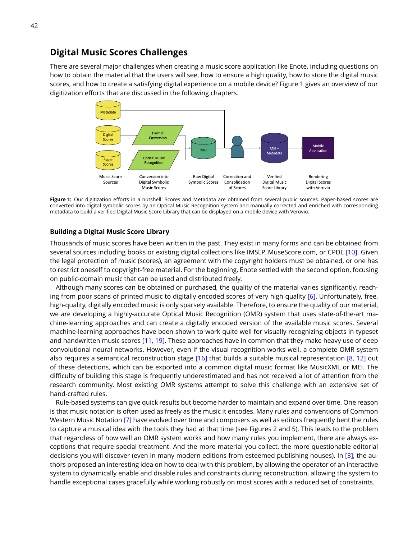## **Digital Music Scores Challenges**

There are several major challenges when creating a music score application like Enote, including questions on how to obtain the material that the users will see, how to ensure a high quality, how to store the digital music scores, and how to create a satisfying digital experience on a mobile device? Figure 1 gives an overview of our digitization efforts that are discussed in the following chapters.



Figure 1: Our digitization efforts in a nutshell: Scores and Metadata are obtained from several public sources. Paper-based scores are converted into digital symbolic scores by an Optical Music Recognition system and manually corrected and enriched with corresponding metadata to build a verified Digital Music Score Library that can be displayed on a mobile device with Verovio.

#### **Building a Digital Music Score Library**

Thousands of music scores have been written in the past. They exist in many forms and can be obtained from several sources including books or existing digital collections like IMSLP, MuseScore.com, or CPDL [\[10\].](#page-7-5) Given the legal protection of music (scores), an agreement with the copyright holders must be obtained, or one has to restrict oneself to copyright-free material. For the beginning, Enote settled with the second option, focusing on public-domain music that can be used and distributed freely.

Although many scores can be obtained or purchased, the quality of the material varies significantly, reaching from poor scans of printed music to digitally encoded scores of very high quality [\[6\]](#page-7-6). Unfortunately, free, high-quality, digitally encoded music is only sparsely available. Therefore, to ensure the quality of our material, we are developing a highly-accurate Optical Music Recognition (OMR) system that uses state-of-the-art machine-learning approaches and can create a digitally encoded version of the available music scores. Several machine-learning approaches have been shown to work quite well for visually recognizing objects in typeset and handwritten music scores [\[11, 19\].](#page-7-7) These approaches have in common that they make heavy use of deep convolutional neural networks. However, even if the visual recognition works well, a complete OMR system also requires a semantical reconstruction stage [\[16\]](#page-7-8) that builds a suitable musical representation [\[8, 12\]](#page-7-9) out of these detections, which can be exported into a common digital music format like MusicXML or MEI. The difficulty of building this stage is frequently underestimated and has not received a lot of attention from the research community. Most existing OMR systems attempt to solve this challenge with an extensive set of hand-crafted rules.

Rule-based systems can give quick results but become harder to maintain and expand over time. One reason is that music notation is often used as freely as the music it encodes. Many rules and conventions of Common Western Music Notation [\[7\]](#page-7-10) have evolved over time and composers as well as editors frequently bent the rules to capture a musical idea with the tools they had at that time (see Figures 2 and 5). This leads to the problem that regardless of how well an OMR system works and how many rules you implement, there are always exceptions that require special treatment. And the more material you collect, the more questionable editorial decisions you will discover (even in many modern editions from esteemed publishing houses). In [\[3\],](#page-7-11) the authors proposed an interesting idea on how to deal with this problem, by allowing the operator of an interactive system to dynamically enable and disable rules and constraints during reconstruction, allowing the system to handle exceptional cases gracefully while working robustly on most scores with a reduced set of constraints.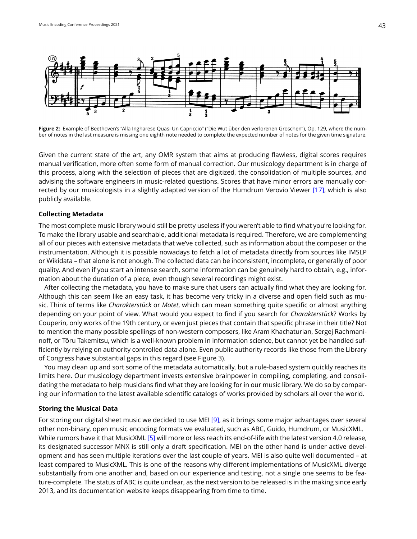

Figure 2: Example of Beethoven's "Alla Ingharese Quasi Un Capriccio" ("Die Wut über den verlorenen Groschen"), Op. 129, where the number of notes in the last measure is missing one eighth note needed to complete the expected number of notes for the given time signature.

Given the current state of the art, any OMR system that aims at producing flawless, digital scores requires manual verification, more often some form of manual correction. Our musicology department is in charge of this process, along with the selection of pieces that are digitized, the consolidation of multiple sources, and advising the software engineers in music-related questions. Scores that have minor errors are manually corrected by our musicologists in a slightly adapted version of the Humdrum Verovio Viewer [\[17\]](#page-7-12), which is also publicly available.

#### **Collecting Metadata**

The most complete music library would still be pretty useless if you weren't able to find what you're looking for. To make the library usable and searchable, additional metadata is required. Therefore, we are complementing all of our pieces with extensive metadata that we've collected, such as information about the composer or the instrumentation. Although it is possible nowadays to fetch a lot of metadata directly from sources like IMSLP or Wikidata – that alone is not enough. The collected data can be inconsistent, incomplete, or generally of poor quality. And even if you start an intense search, some information can be genuinely hard to obtain, e.g., information about the duration of a piece, even though several recordings might exist.

After collecting the metadata, you have to make sure that users can actually find what they are looking for. Although this can seem like an easy task, it has become very tricky in a diverse and open field such as music. Think of terms like *Charakterstück* or *Motet*, which can mean something quite specific or almost anything depending on your point of view. What would you expect to find if you search for *Charakterstück*? Works by Couperin, only works of the 19th century, or even just pieces that contain that specific phrase in their title? Not to mention the many possible spellings of non-western composers, like Aram Khachaturian, Sergej Rachmaninoff, or Tōru Takemitsu, which is a well-known problem in information science, but cannot yet be handled sufficiently by relying on authority controlled data alone. Even public authority records like those from the Library of Congress have substantial gaps in this regard (see Figure 3).

You may clean up and sort some of the metadata automatically, but a rule-based system quickly reaches its limits here. Our musicology department invests extensive brainpower in compiling, completing, and consolidating the metadata to help musicians find what they are looking for in our music library. We do so by comparing our information to the latest available scientific catalogs of works provided by scholars all over the world.

#### **Storing the Musical Data**

For storing our digital sheet music we decided to use MEI [\[9\]](#page-7-13), as it brings some major advantages over several other non-binary, open music encoding formats we evaluated, such as ABC, Guido, Humdrum, or MusicXML. While rumors have it that MusicXML [\[5\]](#page-7-14) will more or less reach its end-of-life with the latest version 4.0 release, its designated successor MNX is still only a draft specification. MEI on the other hand is under active development and has seen multiple iterations over the last couple of years. MEI is also quite well documented – at least compared to MusicXML. This is one of the reasons why different implementations of MusicXML diverge substantially from one another and, based on our experience and testing, not a single one seems to be feature-complete. The status of ABC is quite unclear, as the next version to be released is in the making since early 2013, and its documentation website keeps disappearing from time to time.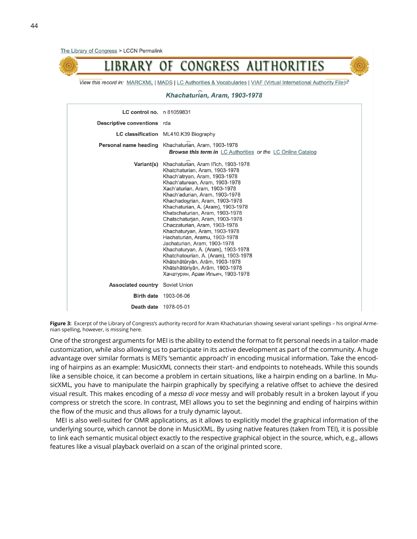

View this record in: MARCXML | MADS | LC Authorities & Vocabularies | VIAF (Virtual International Authority File)<sup>®</sup>

Khachaturian. Aram. 1903-1978

| <b>LC control no.</b> n 81059831<br>Descriptive conventions rda | LC classification ML410.K39 Biography                                                                                                                                                                                                                                                                                                                                                                                                                                                                                                                                                                                                                                                           |
|-----------------------------------------------------------------|-------------------------------------------------------------------------------------------------------------------------------------------------------------------------------------------------------------------------------------------------------------------------------------------------------------------------------------------------------------------------------------------------------------------------------------------------------------------------------------------------------------------------------------------------------------------------------------------------------------------------------------------------------------------------------------------------|
|                                                                 | Personal name heading Khachaturian, Aram, 1903-1978<br><b>Browse this term in</b> LC Authorities or the LC Online Catalog                                                                                                                                                                                                                                                                                                                                                                                                                                                                                                                                                                       |
|                                                                 | Variant(s) Khachaturian, Aram Il'ich, 1903-1978<br>Khatchaturian, Aram, 1903-1978<br>Khach'atryan, Aram, 1903-1978<br>Khach'aturean, Aram, 1903-1978<br>Xach'aturian, Aram, 1903-1978<br>Khach'adurian, Aram, 1903-1978<br>Khachadourian, Aram, 1903-1978<br>Khachaturian, A. (Aram), 1903-1978<br>Khatschaturian, Aram, 1903-1978<br>Chatschaturian, Aram, 1903-1978<br>Chaczaturian, Aram, 1903-1978<br>Khachaturyan, Aram, 1903-1978<br>Hachaturian, Aramu, 1903-1978<br>Jachaturian, Aram, 1903-1978<br>Khachaturyan, A. (Aram), 1903-1978<br>Khatchatourian, A. (Aram), 1903-1978<br>Khātshātūryān, Arām, 1903-1978<br>Khātshātūriyān, Arām, 1903-1978<br>Хачатурян, Арам Ильич, 1903-1978 |
| <b>Associated country</b> Soviet Union                          |                                                                                                                                                                                                                                                                                                                                                                                                                                                                                                                                                                                                                                                                                                 |
|                                                                 | <b>Birth date 1903-06-06</b>                                                                                                                                                                                                                                                                                                                                                                                                                                                                                                                                                                                                                                                                    |
| <b>Death date</b> 1978-05-01                                    |                                                                                                                                                                                                                                                                                                                                                                                                                                                                                                                                                                                                                                                                                                 |

**Figure 3:** Excerpt of the Library of Congress's authority record for Aram Khachaturian showing several variant spellings – his original Armenian spelling, however, is missing here.

One of the strongest arguments for MEI is the ability to extend the format to fit personal needs in a tailor-made customization, while also allowing us to participate in its active development as part of the community. A huge advantage over similar formats is MEI's 'semantic approach' in encoding musical information. Take the encoding of hairpins as an example: MusicXML connects their start- and endpoints to noteheads. While this sounds like a sensible choice, it can become a problem in certain situations, like a hairpin ending on a barline. In MusicXML, you have to manipulate the hairpin graphically by specifying a relative offset to achieve the desired visual result. This makes encoding of a *messa di voce* messy and will probably result in a broken layout if you compress or stretch the score. In contrast, MEI allows you to set the beginning and ending of hairpins within the flow of the music and thus allows for a truly dynamic layout.

MEI is also well-suited for OMR applications, as it allows to explicitly model the graphical information of the underlying source, which cannot be done in MusicXML. By using native features (taken from TEI), it is possible to link each semantic musical object exactly to the respective graphical object in the source, which, e.g., allows features like a visual playback overlaid on a scan of the original printed score.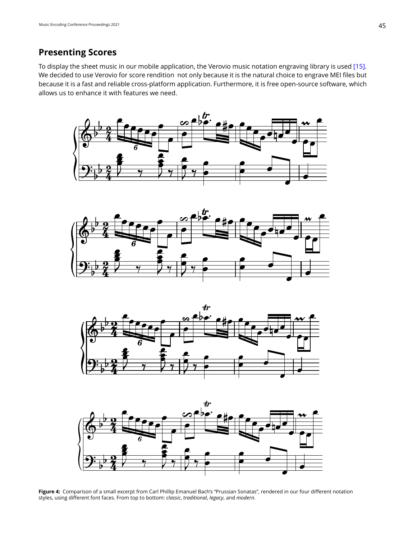# **Presenting Scores**

To display the sheet music in our mobile application, the Verovio music notation engraving library is used [\[15\]](#page-7-15). We decided to use Verovio for score rendition not only because it is the natural choice to engrave MEI files but because it is a fast and reliable cross-platform application. Furthermore, it is free open-source software, which allows us to enhance it with features we need.









**Figure 4:** Comparison of a small excerpt from Carl Phillip Emanuel Bach's "Prussian Sonatas", rendered in our four different notation styles, using different font faces. From top to bottom: *classic*, *traditional*, *legacy*, and *modern*.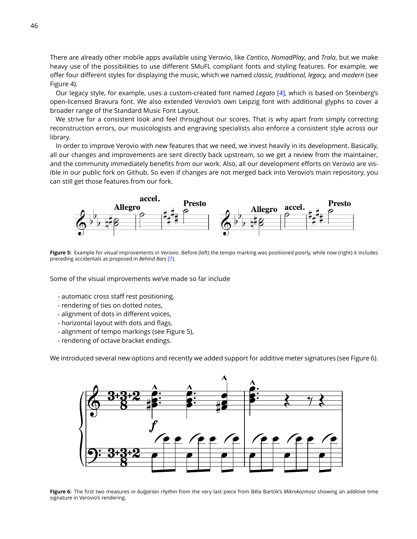There are already other mobile apps available using Verovio, like *Cantico*, *NomadPlay*, and *Trala*, but we make heavy use of the possibilities to use different SMuFL compliant fonts and styling features. For example, we offer four different styles for displaying the music, which we named *classic, traditional, legacy,* and *modern* (see Figure 4).

Our legacy style, for example, uses a custom-created font named *Legato* [\[4\],](#page-7-16) which is based on Steinberg's open-licensed Bravura font. We also extended Verovio's own Leipzig font with additional glyphs to cover a broader range of the Standard Music Font Layout.

We strive for a consistent look and feel throughout our scores. That is why apart from simply correcting reconstruction errors, our musicologists and engraving specialists also enforce a consistent style across our library.

In order to improve Verovio with new features that we need, we invest heavily in its development. Basically, all our changes and improvements are sent directly back upstream, so we get a review from the maintainer, and the community immediately benefits from our work. Also, all our development efforts on Verovio are visible in our public fork on Github. So even if changes are not merged back into Verovio's main repository, you can still get those features from our fork.



**Figure 5:** Example for visual improvements in Verovio. Before (left) the tempo marking was positioned poorly, while now (right) it includes preceding accidentals as proposed in *Behind Bars* [\[7\].](#page-7-10)

Some of the visual improvements we've made so far include

- automatic cross staff rest positioning,
- rendering of ties on dotted notes,
- alignment of dots in different voices,
- horizontal layout with dots and flags,
- alignment of tempo markings (see Figure 5),
- rendering of octave bracket endings.

We introduced several new options and recently we added support for additive meter signatures (see Figure 6).



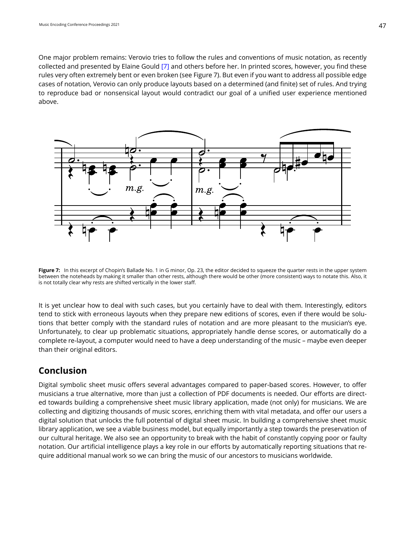One major problem remains: Verovio tries to follow the rules and conventions of music notation, as recently collected and presented by Elaine Gould [\[7\]](#page-7-10) and others before her. In printed scores, however, you find these rules very often extremely bent or even broken (see Figure 7). But even if you want to address all possible edge cases of notation, Verovio can only produce layouts based on a determined (and finite) set of rules. And trying to reproduce bad or nonsensical layout would contradict our goal of a unified user experience mentioned above.



Figure 7: In this excerpt of Chopin's Ballade No. 1 in G minor, Op. 23, the editor decided to squeeze the quarter rests in the upper system between the noteheads by making it smaller than other rests, although there would be other (more consistent) ways to notate this. Also, it is not totally clear why rests are shifted vertically in the lower staff.

It is yet unclear how to deal with such cases, but you certainly have to deal with them. Interestingly, editors tend to stick with erroneous layouts when they prepare new editions of scores, even if there would be solutions that better comply with the standard rules of notation and are more pleasant to the musician's eye. Unfortunately, to clear up problematic situations, appropriately handle dense scores, or automatically do a complete re-layout, a computer would need to have a deep understanding of the music – maybe even deeper than their original editors.

# **Conclusion**

Digital symbolic sheet music offers several advantages compared to paper-based scores. However, to offer musicians a true alternative, more than just a collection of PDF documents is needed. Our efforts are directed towards building a comprehensive sheet music library application, made (not only) for musicians. We are collecting and digitizing thousands of music scores, enriching them with vital metadata, and offer our users a digital solution that unlocks the full potential of digital sheet music. In building a comprehensive sheet music library application, we see a viable business model, but equally importantly a step towards the preservation of our cultural heritage. We also see an opportunity to break with the habit of constantly copying poor or faulty notation. Our artificial intelligence plays a key role in our efforts by automatically reporting situations that require additional manual work so we can bring the music of our ancestors to musicians worldwide.